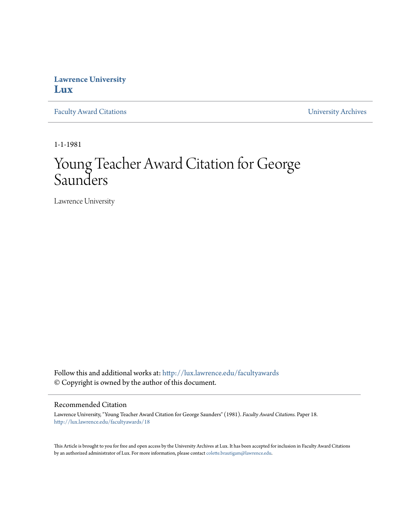## **Lawrence University [Lux](http://lux.lawrence.edu?utm_source=lux.lawrence.edu%2Ffacultyawards%2F18&utm_medium=PDF&utm_campaign=PDFCoverPages)**

[Faculty Award Citations](http://lux.lawrence.edu/facultyawards?utm_source=lux.lawrence.edu%2Ffacultyawards%2F18&utm_medium=PDF&utm_campaign=PDFCoverPages) **Example 2018** [University Archives](http://lux.lawrence.edu/archives?utm_source=lux.lawrence.edu%2Ffacultyawards%2F18&utm_medium=PDF&utm_campaign=PDFCoverPages)

1-1-1981

# Young Teacher Award Citation for George Saunders

Lawrence University

Follow this and additional works at: [http://lux.lawrence.edu/facultyawards](http://lux.lawrence.edu/facultyawards?utm_source=lux.lawrence.edu%2Ffacultyawards%2F18&utm_medium=PDF&utm_campaign=PDFCoverPages) © Copyright is owned by the author of this document.

#### Recommended Citation

Lawrence University, "Young Teacher Award Citation for George Saunders" (1981). *Faculty Award Citations.* Paper 18. [http://lux.lawrence.edu/facultyawards/18](http://lux.lawrence.edu/facultyawards/18?utm_source=lux.lawrence.edu%2Ffacultyawards%2F18&utm_medium=PDF&utm_campaign=PDFCoverPages)

This Article is brought to you for free and open access by the University Archives at Lux. It has been accepted for inclusion in Faculty Award Citations by an authorized administrator of Lux. For more information, please contact [colette.brautigam@lawrence.edu](mailto:colette.brautigam@lawrence.edu).